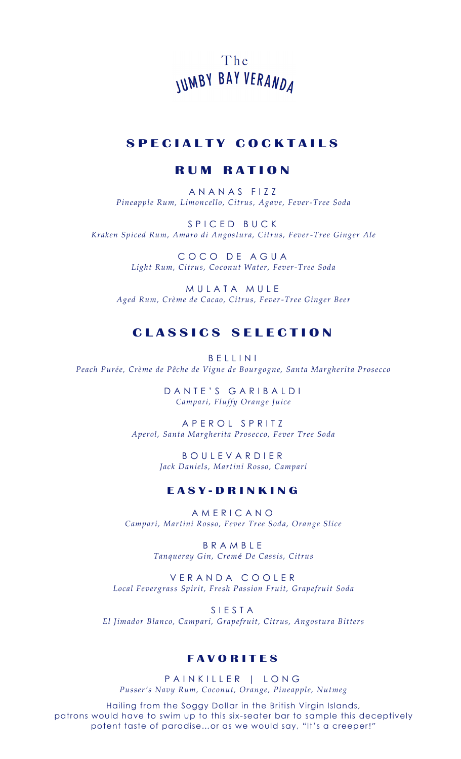The **IUMBY BAY VERANDA** 

# **S P E C I A L T Y C O C K T A I L S**

### **R U M R A T I O N**

A N A N A S F I Z Z *Pineapple Rum, Limoncello, Citrus, Agave, Fever-Tree Soda*

S P I C E D B U C K *Kraken Spiced Rum, Amaro di Angostura, Citrus, Fever-Tree Ginger Ale*

> COCO DE AGUA *Light Rum, Citrus, Coconut Water, Fever-Tree Soda*

MULATA MULE *Aged Rum, Crème de Cacao, Citrus, Fever-Tree Ginger Beer* 

# **C L A S S I C S S E L E C T I O N**

B E L L I N I *Peach Purée, Crème de Pêche de Vigne de Bourgogne, Santa Margherita Prosecco*

> DANTE'S GARIBALDI *Campari, Fluffy Orange Juice*

A P E R O L S P R I T Z *Aperol, Santa Margherita Prosecco, Fever Tree Soda*

> B O U L E V A R D I E R *Jack Daniels, Martini Rosso, Campari*

### **E A S Y - D R I N K I N G**

A M E R I C A N O *Campari, Martini Rosso, Fever Tree Soda, Orange Slice*

> B R A M B L E *Tanqueray Gin, Cremé De Cassis, Citrus*

V E R A N D A C O O L E R *Local Fevergrass Spirit, Fresh Passion Fruit, Grapefruit Soda* 

S I E S T A *El Jimador Blanco, Campari, Grapefruit, Citrus, Angostura Bitters*

#### **F A V O R I T E S**

PAINKILLER | LONG *Pusser's Navy Rum, Coconut, Orange, Pineapple, Nutmeg*

Hailing from the Soggy Dollar in the British Virgin Islands, patrons would have to swim up to this six -seater bar to sample this deceptively potent taste of paradise...or as we would say, "It's a creeper!"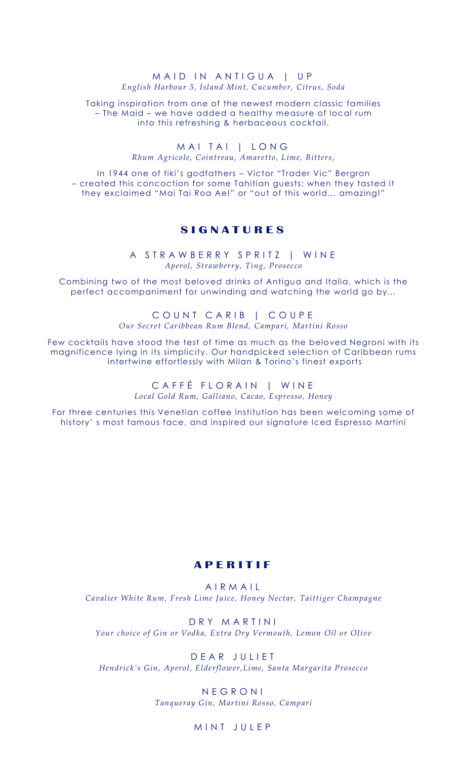#### M A I D IN ANTIGUA | UP *English Harbour 5, Island Mint, Cucumber, Citrus, Soda*

Taking inspiration from one of the newest modern classic families – The Maid – we have added a healthy measure of local rum into this refreshing & herbaceous cocktail.

> MAI TAI | LONG *Rhum Agricole, Cointreau, Amaretto, Lime, Bitters,*

In 1944 one of tiki's godfathers – Victor "Trader Vic" Bergron – created this concoction for some Tahitian guests; when they tasted it they exclaimed "Mai Tai Roa Ae!" or "out of this world… amazing!"

# **S I G N A T U R E S**

A STRAWBERRY SPRITZ | WINE *Aperol, Strawberry, Ting, Prosecco*

Combining two of the most beloved drinks of Antigua and Italia, which is the perfect accompaniment for unwinding and watching the world go by…

> COUNT CARIB | COUPE *Our Secret Caribbean Rum Blend, Campari, Martini Rosso*

Few cocktails have stood the test of time as much as the beloved Negroni with its magnificence lying in its simplicity. Our handpicked selection of Caribbean rums intertwine effortlessly with Milan & Torino's finest exports

> CAFFÉ FLORAIN | WINE *Local Gold Rum, Galliano, Cacao, Espresso, Honey*

For three centuries this Venetian coffee institution has been welcoming some of history' s most famous face, and inspired our signature Iced Espresso Martini

### **A P E R I T I F**

A I R M A I L *Cavalier White Rum, Fresh Lime Juice, Honey Nectar, Taittiger Champagne*

D R Y M A R T I N I *Your choice of Gin or Vodka, Extra Dry Vermouth, Lemon Oïl or Olive* 

D E A R J U L I E T *Hendrick's Gin, Aperol, Elderflower,Lime, Santa Margarita Prosecco* 

> N E G R O N I *Tanqueray Gin, Martini Rosso, Campari*

#### MINT JULFP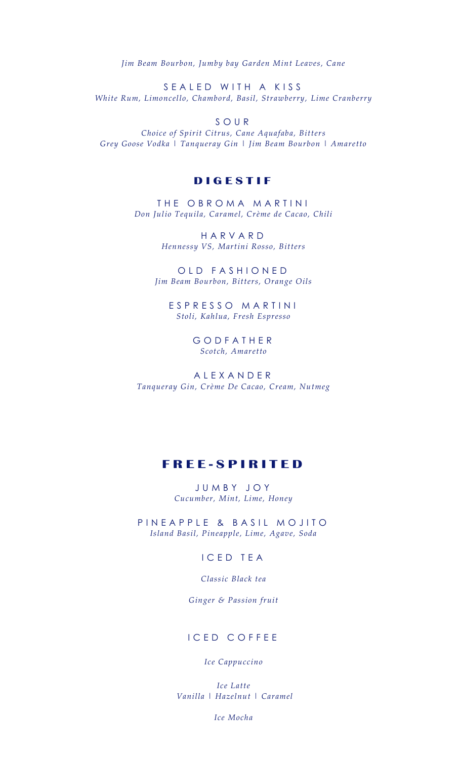*Jim Beam Bourbon, Jumby bay Garden Mint Leaves, Cane* 

S E A L E D W I T H A K I S S *White Rum, Limoncello, Chambord, Basil, Strawberry, Lime Cranberry*

S O U R

*Choice of Spirit Citrus, Cane Aquafaba, Bitters Grey Goose Vodka | Tanqueray Gin | Jim Beam Bourbon | Amaretto*

## **D I G E S T I F**

THE OBROMA MARTINI *Don Julio Tequila, Caramel, Crème de Cacao, Chili*

> H A R V A R D *Hennessy VS, Martini Rosso, Bitters*

OLD FASHIONED *Jim Beam Bourbon, Bitters, Orange Oils*

E S P R E S S O M A R T I N I *Stoli, Kahlua, Fresh Espresso*

> G O D F A T H E R *Scotch, Amaretto*

A L E X A N D E R *Tanqueray Gin, Crème De Cacao, Cream, Nutmeg*

# **F R E E - S P I R I T E D**

J U M B Y J O Y *Cucumber, Mint, Lime, Honey*

P IN EAPPLE & BASIL MOJITO *Island Basil, Pineapple, Lime, Agave, Soda*

### I C E D T E A

*Classic Black tea* 

*Ginger & Passion fruit*

#### ICED COFFEE

#### *Ice Cappuccino*

*Ice Latte Vanilla | Hazelnut | Caramel* 

*Ice Mocha*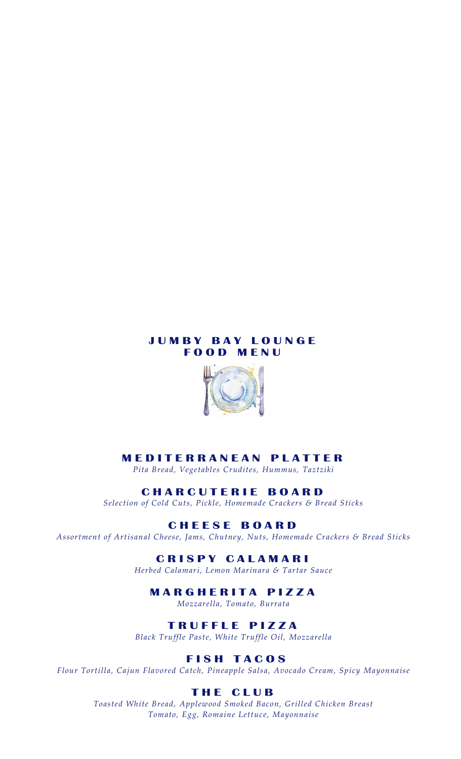# **J U M B Y B A Y L O U N G E F O O D M E N U**



# **M E D I T E R R A N E A N P L A T T E R**

*Pita Bread, Vegetables Crudites, Hummus, Taztziki* 

#### **C H A R C U T E R I E B O A R D**

*Selection of Cold Cuts, Pickle, Homemade Crackers & Bread Sticks* 

## **C H E E S E B O A R D**

*Assortment of Artisanal Cheese, Jams, Chutney, Nuts, Homemade Crackers & Bread Sticks* 

#### **C R I S P Y C A L A M A R I**

*Herbed Calamari, Lemon Marinara & Tartar Sauce* 

# **M A R G H E R I T A P I Z Z A**

*Mozzarella, Tomato, Burrata* 

## **T R U F F L E P I Z Z A**

*Black Truffle Paste, White Truffle Oil, Mozzarella*

# **F I S H T A C O S**

*Flour Tortilla, Cajun Flavored Catch, Pineapple Salsa, Avocado Cream, Spicy Mayonnaise*

## **T H E C L U B**

*Toasted White Bread, Applewood Smoked Bacon, Grilled Chicken Breast Tomato, Egg, Romaine Lettuce, Mayonnaise*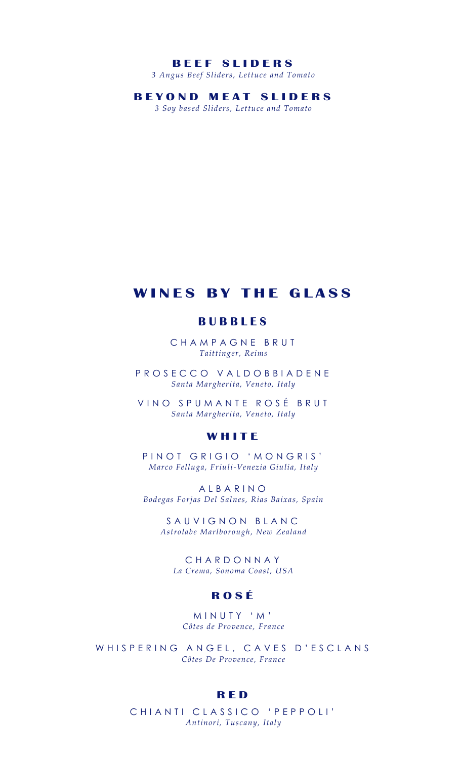#### **B E E F S L I D E R S**

*3 Angus Beef Sliders, Lettuce and Tomato*

**B E Y O N D M E A T S L I D E R S**

*3 Soy based Sliders, Lettuce and Tomato*

# **WINES BY THE GLASS**

### **B U B B L E S**

CHAMPAGNE BRUT *Taittinger, Reims*

P R O S E C C O V A L D O B B I A D E N E *Santa Margherita, Veneto, Italy*

VINO SPUMANTE ROSÉ BRUT *Santa Margherita, Veneto, Italy*

## **W H I T E**

P IN OT GRIGIO 'MONGRIS' *Marco Felluga, Friuli-Venezia Giulia, Italy*

A L B A R I N O *Bodegas Forjas Del Salnes, Rias Baixas, Spain* 

SAUVIGNON BLANC *Astrolabe Marlborough, New Zealand* 

C H A R D O N N A Y *La Crema, Sonoma Coast, USA*

### **R O S É**

M I N U T Y ' M ' *Côtes de Provence, France*

WHISPERING ANGEL, CAVES D'ESCLANS *Côtes De Provence, France*

#### **R E D**

CHIANTI CLASSICO 'PEPPOLI' *Antinori, Tuscany, Italy*